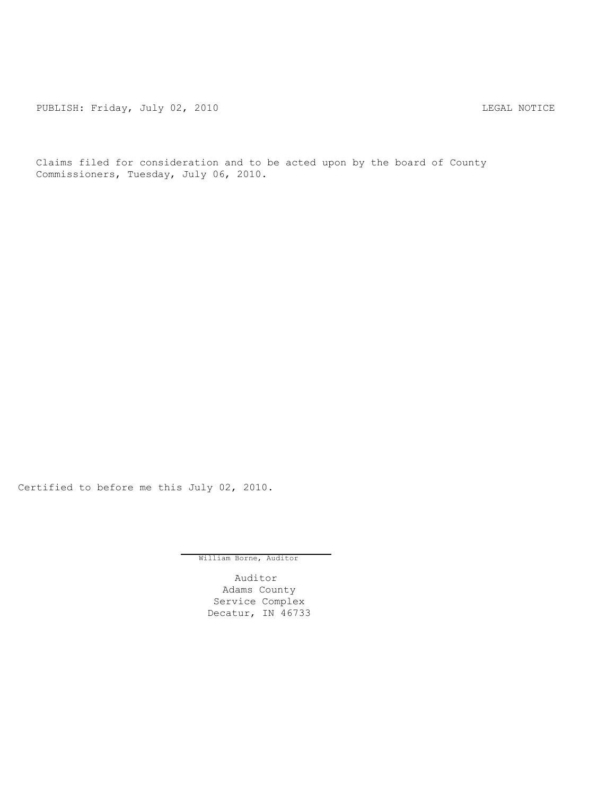PUBLISH: Friday, July 02, 2010 CHA CHANGE CONTROL CONTROL CONTROL CONTROL CONTROL CONTROL CONTROL CONTROL CONTR

Claims filed for consideration and to be acted upon by the board of County Commissioners, Tuesday, July 06, 2010.

Certified to before me this July 02, 2010.

William Borne, Auditor

Auditor Adams County Service Complex Decatur, IN 46733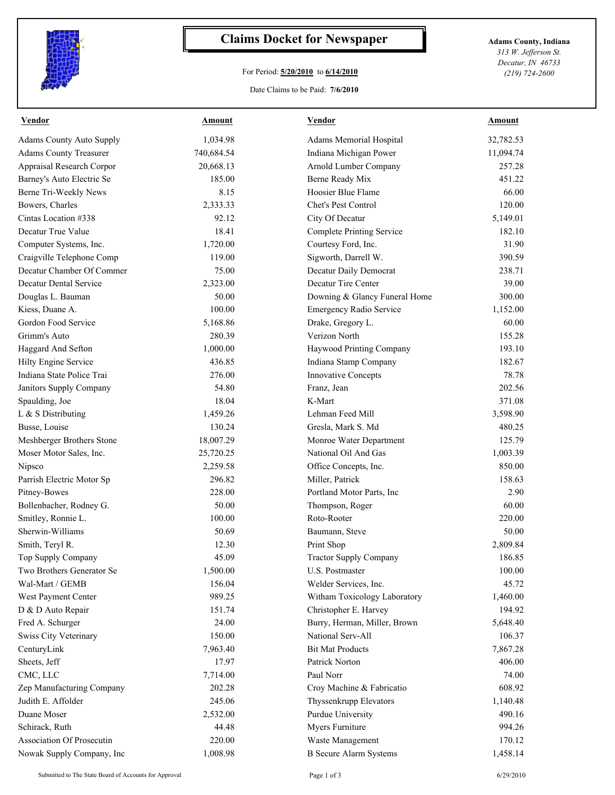

## **Claims Docket for Newspaper Adams County, Indiana**

## For Period: **5/20/2010** to **6/14/2010**

*313 W. Jefferson St. Decatur, IN 46733 (219) 724-2600*

## Date Claims to be Paid: **7/6/2010**

| <b>Vendor</b>                    | <b>Amount</b> | <b>Vendor</b>                    | Amount    |
|----------------------------------|---------------|----------------------------------|-----------|
| <b>Adams County Auto Supply</b>  | 1,034.98      | Adams Memorial Hospital          | 32,782.53 |
| <b>Adams County Treasurer</b>    | 740,684.54    | Indiana Michigan Power           | 11,094.74 |
| Appraisal Research Corpor        | 20,668.13     | Arnold Lumber Company            | 257.28    |
| Barney's Auto Electric Se        | 185.00        | Berne Ready Mix                  | 451.22    |
| Berne Tri-Weekly News            | 8.15          | Hoosier Blue Flame               | 66.00     |
| Bowers, Charles                  | 2,333.33      | Chet's Pest Control              | 120.00    |
| Cintas Location #338             | 92.12         | City Of Decatur                  | 5,149.01  |
| Decatur True Value               | 18.41         | <b>Complete Printing Service</b> | 182.10    |
| Computer Systems, Inc.           | 1,720.00      | Courtesy Ford, Inc.              | 31.90     |
| Craigville Telephone Comp        | 119.00        | Sigworth, Darrell W.             | 390.59    |
| Decatur Chamber Of Commer        | 75.00         | Decatur Daily Democrat           | 238.71    |
| Decatur Dental Service           | 2,323.00      | Decatur Tire Center              | 39.00     |
| Douglas L. Bauman                | 50.00         | Downing & Glancy Funeral Home    | 300.00    |
| Kiess, Duane A.                  | 100.00        | Emergency Radio Service          | 1,152.00  |
| Gordon Food Service              | 5,168.86      | Drake, Gregory L.                | 60.00     |
| Grimm's Auto                     | 280.39        | Verizon North                    | 155.28    |
| Haggard And Sefton               | 1,000.00      | Haywood Printing Company         | 193.10    |
| Hilty Engine Service             | 436.85        | Indiana Stamp Company            | 182.67    |
| Indiana State Police Trai        | 276.00        | <b>Innovative Concepts</b>       | 78.78     |
| Janitors Supply Company          | 54.80         | Franz, Jean                      | 202.56    |
| Spaulding, Joe                   | 18.04         | K-Mart                           | 371.08    |
| L & S Distributing               | 1,459.26      | Lehman Feed Mill                 | 3,598.90  |
| Busse, Louise                    | 130.24        | Gresla, Mark S. Md               | 480.25    |
| Meshberger Brothers Stone        | 18,007.29     | Monroe Water Department          | 125.79    |
| Moser Motor Sales, Inc.          | 25,720.25     | National Oil And Gas             | 1,003.39  |
| Nipsco                           | 2,259.58      | Office Concepts, Inc.            | 850.00    |
| Parrish Electric Motor Sp        | 296.82        | Miller, Patrick                  | 158.63    |
| Pitney-Bowes                     | 228.00        | Portland Motor Parts, Inc        | 2.90      |
| Bollenbacher, Rodney G.          | 50.00         | Thompson, Roger                  | 60.00     |
| Smitley, Ronnie L.               | 100.00        | Roto-Rooter                      | 220.00    |
| Sherwin-Williams                 | 50.69         | Baumann, Steve                   | 50.00     |
| Smith, Teryl R.                  | 12.30         | Print Shop                       | 2,809.84  |
| Top Supply Company               | 45.09         | Tractor Supply Company           | 186.85    |
| Two Brothers Generator Se        | 1,500.00      | U.S. Postmaster                  | 100.00    |
| Wal-Mart / GEMB                  | 156.04        |                                  | 45.72     |
|                                  | 989.25        | Welder Services, Inc.            |           |
| West Payment Center              |               | Witham Toxicology Laboratory     | 1,460.00  |
| D & D Auto Repair                | 151.74        | Christopher E. Harvey            | 194.92    |
| Fred A. Schurger                 | 24.00         | Burry, Herman, Miller, Brown     | 5,648.40  |
| Swiss City Veterinary            | 150.00        | National Serv-All                | 106.37    |
| CenturyLink                      | 7,963.40      | <b>Bit Mat Products</b>          | 7,867.28  |
| Sheets, Jeff                     | 17.97         | Patrick Norton                   | 406.00    |
| CMC, LLC                         | 7,714.00      | Paul Norr                        | 74.00     |
| Zep Manufacturing Company        | 202.28        | Croy Machine & Fabricatio        | 608.92    |
| Judith E. Affolder               | 245.06        | Thyssenkrupp Elevators           | 1,140.48  |
| Duane Moser                      | 2,532.00      | Purdue University                | 490.16    |
| Schirack, Ruth                   | 44.48         | Myers Furniture                  | 994.26    |
| <b>Association Of Prosecutin</b> | 220.00        | Waste Management                 | 170.12    |
| Nowak Supply Company, Inc        | 1,008.98      | <b>B</b> Secure Alarm Systems    | 1,458.14  |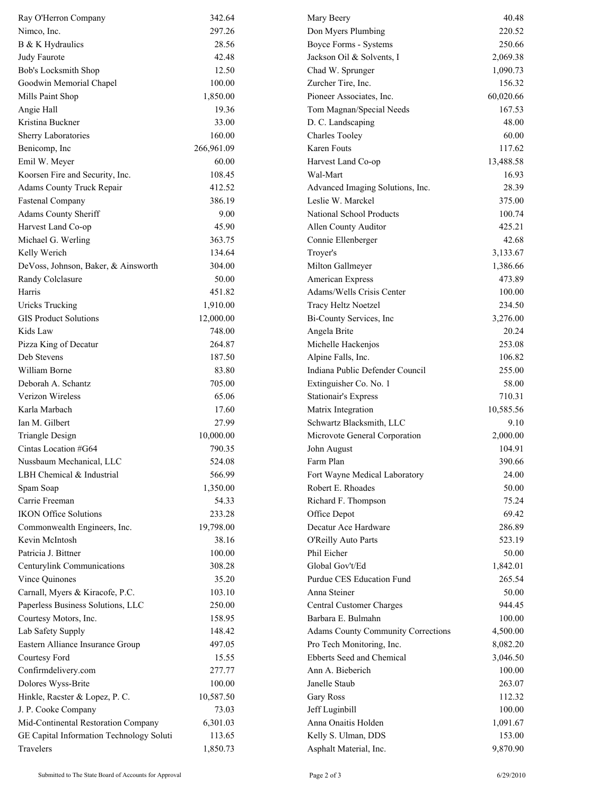| Ray O'Herron Company                     | 342.64     | Mary Beery                                | 40.48     |
|------------------------------------------|------------|-------------------------------------------|-----------|
| Nimco, Inc.                              | 297.26     | Don Myers Plumbing                        | 220.52    |
| B & K Hydraulics                         | 28.56      | Boyce Forms - Systems                     | 250.66    |
| Judy Faurote                             | 42.48      | Jackson Oil & Solvents, I                 | 2,069.38  |
| Bob's Locksmith Shop                     | 12.50      | Chad W. Sprunger                          | 1,090.73  |
| Goodwin Memorial Chapel                  | 100.00     | Zurcher Tire, Inc.                        | 156.32    |
| Mills Paint Shop                         | 1,850.00   | Pioneer Associates, Inc.                  | 60,020.66 |
| Angie Hall                               | 19.36      | Tom Magnan/Special Needs                  | 167.53    |
| Kristina Buckner                         | 33.00      | D. C. Landscaping                         | 48.00     |
| Sherry Laboratories                      | 160.00     | <b>Charles Tooley</b>                     | 60.00     |
| Benicomp, Inc                            | 266,961.09 | Karen Fouts                               | 117.62    |
| Emil W. Meyer                            | 60.00      | Harvest Land Co-op                        | 13,488.58 |
| Koorsen Fire and Security, Inc.          | 108.45     | Wal-Mart                                  | 16.93     |
| Adams County Truck Repair                | 412.52     | Advanced Imaging Solutions, Inc.          | 28.39     |
| <b>Fastenal Company</b>                  | 386.19     | Leslie W. Marckel                         | 375.00    |
| <b>Adams County Sheriff</b>              | 9.00       | National School Products                  | 100.74    |
| Harvest Land Co-op                       | 45.90      | Allen County Auditor                      | 425.21    |
| Michael G. Werling                       | 363.75     | Connie Ellenberger                        | 42.68     |
| Kelly Werich                             | 134.64     | Troyer's                                  | 3,133.67  |
| DeVoss, Johnson, Baker, & Ainsworth      | 304.00     | Milton Gallmeyer                          | 1,386.66  |
| Randy Colclasure                         | 50.00      | American Express                          | 473.89    |
| Harris                                   | 451.82     | Adams/Wells Crisis Center                 | 100.00    |
| <b>Uricks Trucking</b>                   | 1,910.00   | Tracy Heltz Noetzel                       | 234.50    |
| <b>GIS Product Solutions</b>             | 12,000.00  | Bi-County Services, Inc                   | 3,276.00  |
| Kids Law                                 | 748.00     | Angela Brite                              | 20.24     |
| Pizza King of Decatur                    | 264.87     | Michelle Hackenjos                        | 253.08    |
| Deb Stevens                              | 187.50     | Alpine Falls, Inc.                        | 106.82    |
| William Borne                            | 83.80      | Indiana Public Defender Council           | 255.00    |
| Deborah A. Schantz                       | 705.00     | Extinguisher Co. No. 1                    | 58.00     |
| Verizon Wireless                         | 65.06      | Stationair's Express                      | 710.31    |
| Karla Marbach                            | 17.60      | Matrix Integration                        | 10,585.56 |
| Ian M. Gilbert                           | 27.99      | Schwartz Blacksmith, LLC                  | 9.10      |
| <b>Triangle Design</b>                   | 10,000.00  | Microvote General Corporation             | 2,000.00  |
| Cintas Location #G64                     | 790.35     | John August                               | 104.91    |
| Nussbaum Mechanical, LLC                 | 524.08     | Farm Plan                                 | 390.66    |
| LBH Chemical & Industrial                | 566.99     | Fort Wayne Medical Laboratory             | 24.00     |
| Spam Soap                                | 1,350.00   | Robert E. Rhoades                         | 50.00     |
| Carrie Freeman                           | 54.33      | Richard F. Thompson                       | 75.24     |
| <b>IKON Office Solutions</b>             | 233.28     | Office Depot                              | 69.42     |
| Commonwealth Engineers, Inc.             | 19,798.00  | Decatur Ace Hardware                      | 286.89    |
| Kevin McIntosh                           | 38.16      | O'Reilly Auto Parts                       | 523.19    |
| Patricia J. Bittner                      | 100.00     | Phil Eicher                               | 50.00     |
| Centurylink Communications               | 308.28     | Global Gov't/Ed                           | 1,842.01  |
| Vince Quinones                           | 35.20      | Purdue CES Education Fund                 | 265.54    |
| Carnall, Myers & Kiracofe, P.C.          | 103.10     | Anna Steiner                              | 50.00     |
| Paperless Business Solutions, LLC        | 250.00     | Central Customer Charges                  | 944.45    |
| Courtesy Motors, Inc.                    | 158.95     | Barbara E. Bulmahn                        | 100.00    |
| Lab Safety Supply                        | 148.42     | <b>Adams County Community Corrections</b> | 4,500.00  |
| Eastern Alliance Insurance Group         | 497.05     | Pro Tech Monitoring, Inc.                 | 8,082.20  |
| Courtesy Ford                            | 15.55      | Ebberts Seed and Chemical                 | 3,046.50  |
| Confirmdelivery.com                      | 277.77     | Ann A. Bieberich                          | 100.00    |
| Dolores Wyss-Brite                       | 100.00     | Janelle Staub                             | 263.07    |
| Hinkle, Racster & Lopez, P. C.           | 10,587.50  | Gary Ross                                 | 112.32    |
| J. P. Cooke Company                      | 73.03      | Jeff Luginbill                            | 100.00    |
| Mid-Continental Restoration Company      | 6,301.03   | Anna Onaitis Holden                       | 1,091.67  |
| GE Capital Information Technology Soluti | 113.65     | Kelly S. Ulman, DDS                       | 153.00    |
| Travelers                                | 1,850.73   | Asphalt Material, Inc.                    | 9,870.90  |